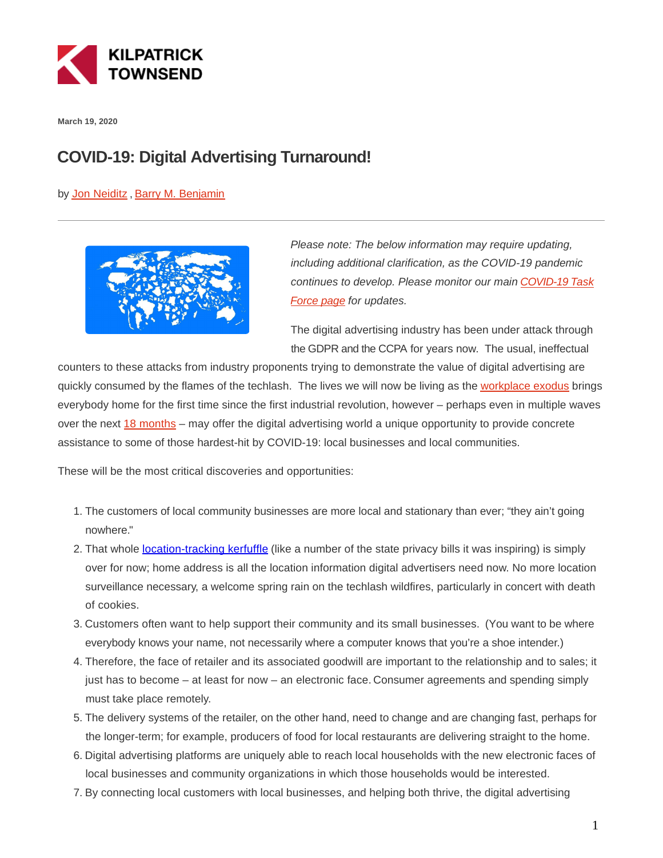

**March 19, 2020**

## **COVID-19: Digital Advertising Turnaround!**

by [Jon Neiditz ,](https://kilpatricktownsend.com/People/N/NeiditzJonathanA) [Barry M. Benjamin](https://kilpatricktownsend.com/People/B/BenjaminBarryM)



Please note: The below information may require updating, including additional clarification, as the COVID-19 pandemic continues to develop. Please monitor our main [COVID-19 Task](https://www.kilpatricktownsend.com/Insights/Alert/2020/3/Coronavirus-COVID-19-Task-Force) Force page for updates.

The digital advertising industry has been under attack through the GDPR and the CCPA for years now. The usual, ineffectual

counters to these attacks from industry proponents trying to demonstrate the value of digital advertising are quickly consumed by the flames of the techlash. The lives we will now be living as the [workplace exodus](https://www.kilpatricktownsend.com/en/Blog/GlobalPrivacy-and-CybersecurityLaw/2020/3/COVID-19-Workplace-Exodus) brings everybody home for the first time since the first industrial revolution, however – perhaps even in multiple waves over the next [18 months](https://www.cnn.com/2020/03/18/politics/contingency-planning-18-months-coronavirus/index.htm) – may offer the digital advertising world a unique opportunity to provide concrete assistance to some of those hardest-hit by COVID-19: local businesses and local communities.

These will be the most critical discoveries and opportunities:

- 1. The customers of local community businesses are more local and stationary than ever; "they ain't going nowhere."
- 2. That whole [location-tracking kerfuffle](https://www.kilpatricktownsend.com/Blog/GlobalPrivacy-and-CybersecurityLaw/2020/3/When-Imprecise-is-Precisely-the-Place-to-Be-NAI-s-Detailed-Guidance-on-Location-Data) (like a number of the state privacy bills it was inspiring) is simply over for now; home address is all the location information digital advertisers need now. No more location surveillance necessary, a welcome spring rain on the techlash wildfires, particularly in concert with death of cookies.
- 3. Customers often want to help support their community and its small businesses. (You want to be where everybody knows your name, not necessarily where a computer knows that you're a shoe intender.)
- 4. Therefore, the face of retailer and its associated goodwill are important to the relationship and to sales; it just has to become – at least for now – an electronic face. Consumer agreements and spending simply must take place remotely.
- 5. The delivery systems of the retailer, on the other hand, need to change and are changing fast, perhaps for the longer-term; for example, producers of food for local restaurants are delivering straight to the home.
- 6. Digital advertising platforms are uniquely able to reach local households with the new electronic faces of local businesses and community organizations in which those households would be interested.
- 7. By connecting local customers with local businesses, and helping both thrive, the digital advertising